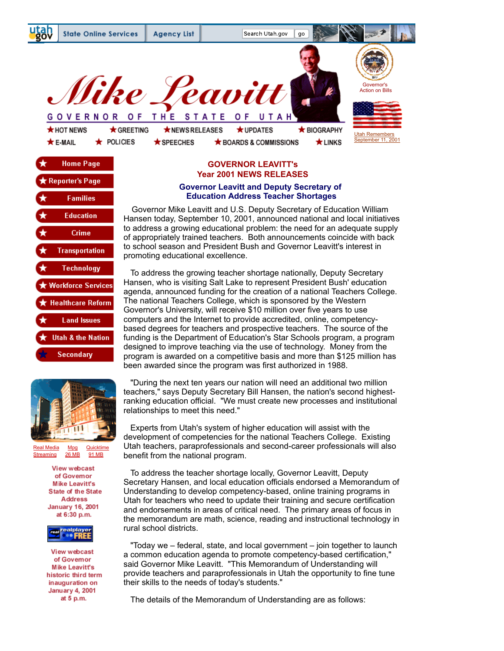





[Real Media](https://web.archive.org/web/20030105125947/http://real.state.ut.us:554/RAMGEN/Governor/Utah_1.rm) Mpg [Quicktime](https://web.archive.org/web/20030105125947/http://www.governor.utah.gov/govsite/verite/utah.mov)<br>Streaming 26 MB 91 MB [Streaming](https://web.archive.org/web/20030105125947/http://real.state.ut.us:554/RAMGEN/Governor/Utah_1.rm) 26 MB

> View webcast of Govemor **Mike Leavitt's State of the State Address January 16, 2001** at 6:30 p.m.



**View webcast** of Governor **Mike Leavitt's** historic third term inauguration on **January 4, 2001** at 5 p.m.

## **GOVERNOR LEAVITT's Year 2001 NEWS RELEASES**

## **Governor Leavitt and Deputy Secretary of Education Address Teacher Shortages**

 Governor Mike Leavitt and U.S. Deputy Secretary of Education William Hansen today, September 10, 2001, announced national and local initiatives to address a growing educational problem: the need for an adequate supply of appropriately trained teachers. Both announcements coincide with back to school season and President Bush and Governor Leavitt's interest in promoting educational excellence.

 To address the growing teacher shortage nationally, Deputy Secretary Hansen, who is visiting Salt Lake to represent President Bush' education agenda, announced funding for the creation of a national Teachers College. The national Teachers College, which is sponsored by the Western Governor's University, will receive \$10 million over five years to use computers and the Internet to provide accredited, online, competencybased degrees for teachers and prospective teachers. The source of the funding is the Department of Education's Star Schools program, a program designed to improve teaching via the use of technology. Money from the program is awarded on a competitive basis and more than \$125 million has been awarded since the program was first authorized in 1988.

 "During the next ten years our nation will need an additional two million teachers," says Deputy Secretary Bill Hansen, the nation's second highestranking education official. "We must create new processes and institutional relationships to meet this need."

 Experts from Utah's system of higher education will assist with the development of competencies for the national Teachers College. Existing Utah teachers, paraprofessionals and second-career professionals will also benefit from the national program.

 To address the teacher shortage locally, Governor Leavitt, Deputy Secretary Hansen, and local education officials endorsed a Memorandum of Understanding to develop competency-based, online training programs in Utah for teachers who need to update their training and secure certification and endorsements in areas of critical need. The primary areas of focus in the memorandum are math, science, reading and instructional technology in rural school districts.

 "Today we – federal, state, and local government – join together to launch a common education agenda to promote competency-based certification," said Governor Mike Leavitt. "This Memorandum of Understanding will provide teachers and paraprofessionals in Utah the opportunity to fine tune their skills to the needs of today's students."

The details of the Memorandum of Understanding are as follows: